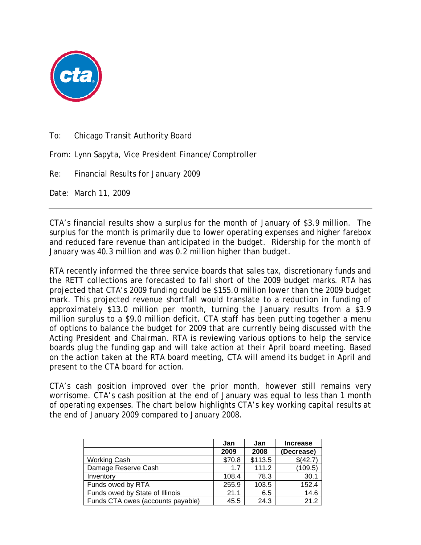

To: Chicago Transit Authority Board

From: Lynn Sapyta, Vice President Finance/Comptroller

Re: Financial Results for January 2009

Date: March 11, 2009

CTA's financial results show a surplus for the month of January of \$3.9 million. The surplus for the month is primarily due to lower operating expenses and higher farebox and reduced fare revenue than anticipated in the budget. Ridership for the month of January was 40.3 million and was 0.2 million higher than budget.

RTA recently informed the three service boards that sales tax, discretionary funds and the RETT collections are forecasted to fall short of the 2009 budget marks. RTA has projected that CTA's 2009 funding could be \$155.0 million lower than the 2009 budget mark. This projected revenue shortfall would translate to a reduction in funding of approximately \$13.0 million per month, turning the January results from a \$3.9 million surplus to a \$9.0 million deficit. CTA staff has been putting together a menu of options to balance the budget for 2009 that are currently being discussed with the Acting President and Chairman. RTA is reviewing various options to help the service boards plug the funding gap and will take action at their April board meeting. Based on the action taken at the RTA board meeting, CTA will amend its budget in April and present to the CTA board for action.

CTA's cash position improved over the prior month, however still remains very worrisome. CTA's cash position at the end of January was equal to less than 1 month of operating expenses. The chart below highlights CTA's key working capital results at the end of January 2009 compared to January 2008.

|                                   | Jan    | Jan     | <b>Increase</b> |
|-----------------------------------|--------|---------|-----------------|
|                                   | 2009   | 2008    | (Decrease)      |
| <b>Working Cash</b>               | \$70.8 | \$113.5 | \$(42.7)        |
| Damage Reserve Cash               | 17     | 111.2   | (109.5)         |
| Inventory                         | 108.4  | 78.3    | 30.1            |
| Funds owed by RTA                 | 255.9  | 103.5   | 152.4           |
| Funds owed by State of Illinois   | 21.1   | 6.5     | 14.6            |
| Funds CTA owes (accounts payable) | 45.5   | 24.3    | 212             |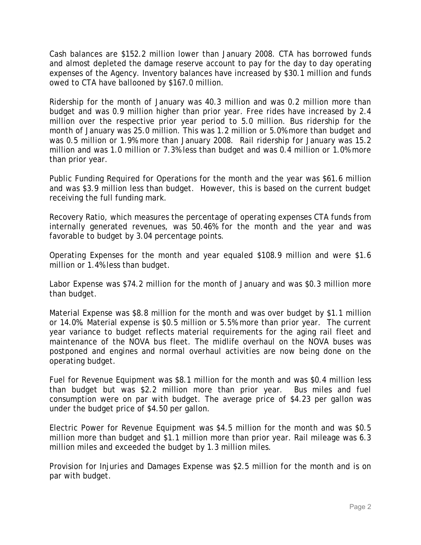Cash balances are \$152.2 million lower than January 2008. CTA has borrowed funds and almost depleted the damage reserve account to pay for the day to day operating expenses of the Agency. Inventory balances have increased by \$30.1 million and funds owed to CTA have ballooned by \$167.0 million.

Ridership for the month of January was 40.3 million and was 0.2 million more than budget and was 0.9 million higher than prior year. Free rides have increased by 2.4 million over the respective prior year period to 5.0 million. Bus ridership for the month of January was 25.0 million. This was 1.2 million or 5.0% more than budget and was 0.5 million or 1.9% more than January 2008. Rail ridership for January was 15.2 million and was 1.0 million or 7.3% less than budget and was 0.4 million or 1.0% more than prior year.

Public Funding Required for Operations for the month and the year was \$61.6 million and was \$3.9 million less than budget. However, this is based on the current budget receiving the full funding mark.

Recovery Ratio, which measures the percentage of operating expenses CTA funds from internally generated revenues, was 50.46% for the month and the year and was favorable to budget by 3.04 percentage points.

Operating Expenses for the month and year equaled \$108.9 million and were \$1.6 million or 1.4% less than budget.

Labor Expense was \$74.2 million for the month of January and was \$0.3 million more than budget.

Material Expense was \$8.8 million for the month and was over budget by \$1.1 million or 14.0%. Material expense is \$0.5 million or 5.5% more than prior year. The current year variance to budget reflects material requirements for the aging rail fleet and maintenance of the NOVA bus fleet. The midlife overhaul on the NOVA buses was postponed and engines and normal overhaul activities are now being done on the operating budget.

Fuel for Revenue Equipment was \$8.1 million for the month and was \$0.4 million less than budget but was \$2.2 million more than prior year. Bus miles and fuel consumption were on par with budget. The average price of \$4.23 per gallon was under the budget price of \$4.50 per gallon.

Electric Power for Revenue Equipment was \$4.5 million for the month and was \$0.5 million more than budget and \$1.1 million more than prior year. Rail mileage was 6.3 million miles and exceeded the budget by 1.3 million miles.

Provision for Injuries and Damages Expense was \$2.5 million for the month and is on par with budget.